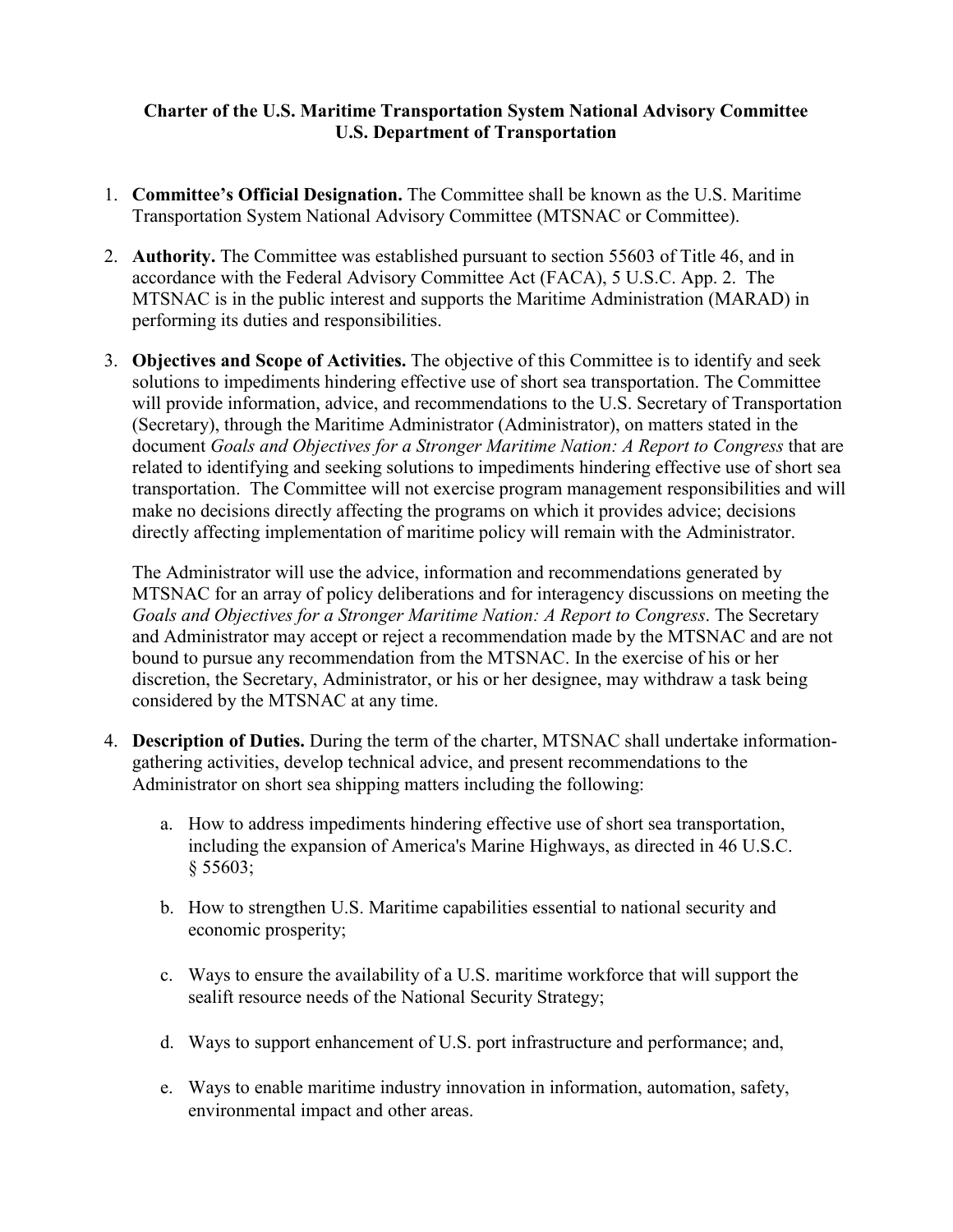## **Charter of the U.S. Maritime Transportation System National Advisory Committee U.S. Department of Transportation**

- 1. **Committee's Official Designation.** The Committee shall be known as the U.S. Maritime Transportation System National Advisory Committee (MTSNAC or Committee).
- 2. **Authority.** The Committee was established pursuant to section 55603 of Title 46, and in accordance with the Federal Advisory Committee Act (FACA), 5 U.S.C. App. 2. The MTSNAC is in the public interest and supports the Maritime Administration (MARAD) in performing its duties and responsibilities.
- 3. **Objectives and Scope of Activities.** The objective of this Committee is to identify and seek solutions to impediments hindering effective use of short sea transportation. The Committee will provide information, advice, and recommendations to the U.S. Secretary of Transportation (Secretary), through the Maritime Administrator (Administrator), on matters stated in the document *Goals and Objectives for a Stronger Maritime Nation: A Report to Congress* that are related to identifying and seeking solutions to impediments hindering effective use of short sea transportation. The Committee will not exercise program management responsibilities and will make no decisions directly affecting the programs on which it provides advice; decisions directly affecting implementation of maritime policy will remain with the Administrator.

The Administrator will use the advice, information and recommendations generated by MTSNAC for an array of policy deliberations and for interagency discussions on meeting the *Goals and Objectives for a Stronger Maritime Nation: A Report to Congress*. The Secretary and Administrator may accept or reject a recommendation made by the MTSNAC and are not bound to pursue any recommendation from the MTSNAC. In the exercise of his or her discretion, the Secretary, Administrator, or his or her designee, may withdraw a task being considered by the MTSNAC at any time.

- 4. **Description of Duties.** During the term of the charter, MTSNAC shall undertake informationgathering activities, develop technical advice, and present recommendations to the Administrator on short sea shipping matters including the following:
	- a. How to address impediments hindering effective use of short sea transportation, including the expansion of America's Marine Highways, as directed in 46 U.S.C. § 55603;
	- b. How to strengthen U.S. Maritime capabilities essential to national security and economic prosperity;
	- c. Ways to ensure the availability of a U.S. maritime workforce that will support the sealift resource needs of the National Security Strategy;
	- d. Ways to support enhancement of U.S. port infrastructure and performance; and,
	- e. Ways to enable maritime industry innovation in information, automation, safety, environmental impact and other areas.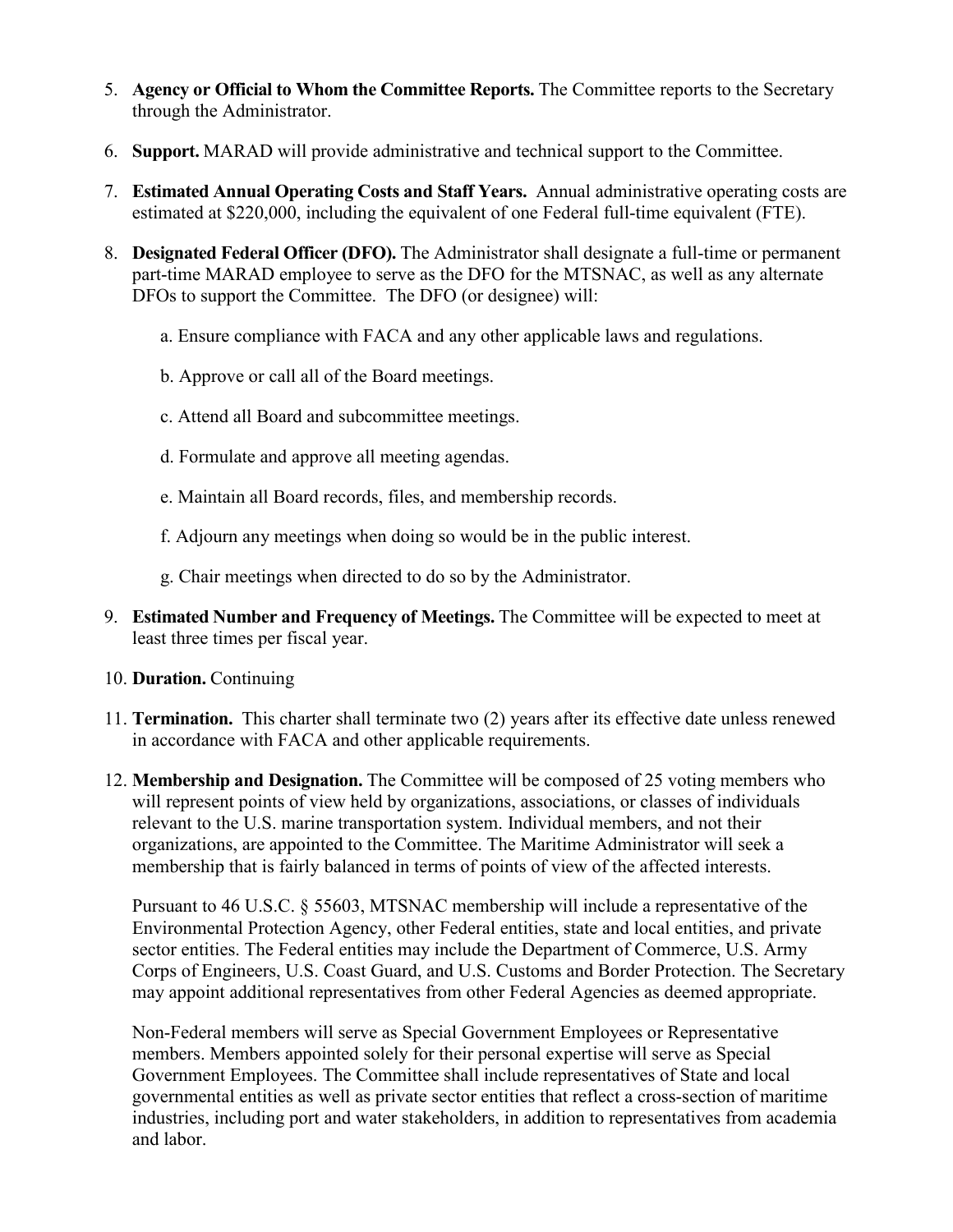- 5. **Agency or Official to Whom the Committee Reports.** The Committee reports to the Secretary through the Administrator.
- 6. **Support.** MARAD will provide administrative and technical support to the Committee.
- 7. **Estimated Annual Operating Costs and Staff Years.** Annual administrative operating costs are estimated at \$220,000, including the equivalent of one Federal full-time equivalent (FTE).
- 8. **Designated Federal Officer (DFO).** The Administrator shall designate a full-time or permanent part-time MARAD employee to serve as the DFO for the MTSNAC, as well as any alternate DFOs to support the Committee. The DFO (or designee) will:
	- a. Ensure compliance with FACA and any other applicable laws and regulations.
	- b. Approve or call all of the Board meetings.
	- c. Attend all Board and subcommittee meetings.
	- d. Formulate and approve all meeting agendas.
	- e. Maintain all Board records, files, and membership records.
	- f. Adjourn any meetings when doing so would be in the public interest.
	- g. Chair meetings when directed to do so by the Administrator.
- 9. **Estimated Number and Frequency of Meetings.** The Committee will be expected to meet at least three times per fiscal year.
- 10. **Duration.** Continuing
- 11. **Termination.** This charter shall terminate two (2) years after its effective date unless renewed in accordance with FACA and other applicable requirements.
- 12. **Membership and Designation.** The Committee will be composed of 25 voting members who will represent points of view held by organizations, associations, or classes of individuals relevant to the U.S. marine transportation system. Individual members, and not their organizations, are appointed to the Committee. The Maritime Administrator will seek a membership that is fairly balanced in terms of points of view of the affected interests.

Pursuant to 46 U.S.C. § 55603, MTSNAC membership will include a representative of the Environmental Protection Agency, other Federal entities, state and local entities, and private sector entities. The Federal entities may include the Department of Commerce, U.S. Army Corps of Engineers, U.S. Coast Guard, and U.S. Customs and Border Protection. The Secretary may appoint additional representatives from other Federal Agencies as deemed appropriate.

Non-Federal members will serve as Special Government Employees or Representative members. Members appointed solely for their personal expertise will serve as Special Government Employees. The Committee shall include representatives of State and local governmental entities as well as private sector entities that reflect a cross-section of maritime industries, including port and water stakeholders, in addition to representatives from academia and labor.